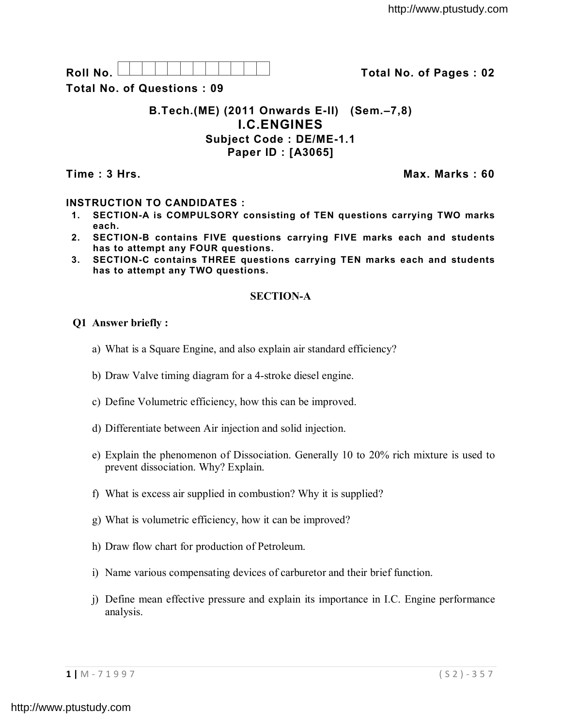| Roll |  |  |  |  |  |  | 02<br>™ota∟<br>No |
|------|--|--|--|--|--|--|-------------------|
| NΩ   |  |  |  |  |  |  | Pages<br>nt.      |

**Total No. of Questions : 09**

# **B.Tech.(ME) (2011 Onwards E-II) (Sem.–7,8) I.C.ENGINES Subject Code : DE/ME-1.1 Paper ID : [A3065]**

**Time : 3 Hrs. Max. Marks : 60**

# **INSTRUCTION TO CANDIDATES :**

- **1. SECTION-A is COMPULSORY consisting of TEN questions carrying TWO marks each.**
- **2. SECTION-B contains FIVE questions carrying FIVE marks each and students has to attempt any FOUR questions.**
- **3. SECTION-C contains THREE questions carrying TEN marks each and students has to attempt any TWO questions.**

# **SECTION-A**

### **Q1 Answer briefly :**

- a) What is a Square Engine, and also explain air standard efficiency?
- b) Draw Valve timing diagram for a 4-stroke diesel engine.
- c) Define Volumetric efficiency, how this can be improved.
- d) Differentiate between Air injection and solid injection.
- e) Explain the phenomenon of Dissociation. Generally 10 to 20% rich mixture is used to prevent dissociation. Why? Explain.
- f) What is excess air supplied in combustion? Why it is supplied?
- g) What is volumetric efficiency, how it can be improved?
- h) Draw flow chart for production of Petroleum.
- i) Name various compensating devices of carburetor and their brief function.
- j) Define mean effective pressure and explain its importance in I.C. Engine performance analysis.